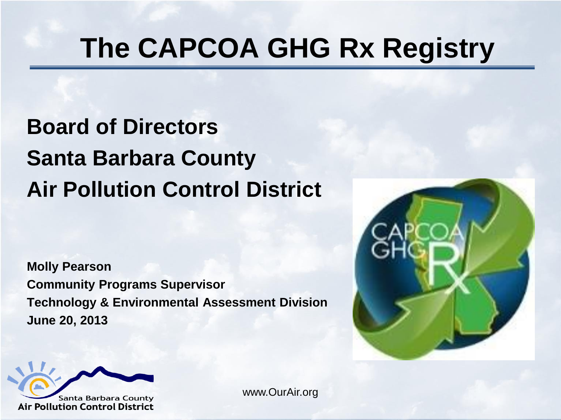### **The CAPCOA GHG Rx Registry**

#### **Board of Directors Santa Barbara County Air Pollution Control District**

**Molly Pearson Community Programs Supervisor Technology & Environmental Assessment Division June 20, 2013**





www.OurAir.org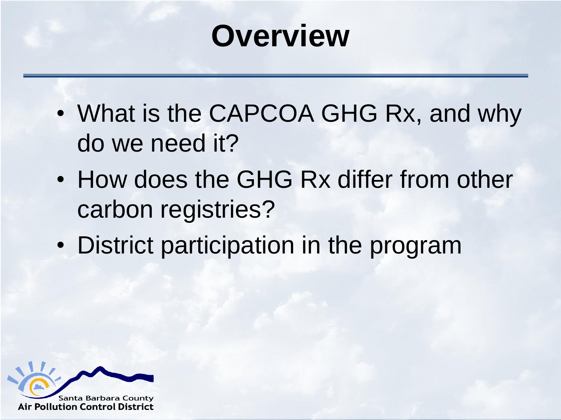### **Overview**

- What is the CAPCOA GHG Rx, and why do we need it?
- How does the GHG Rx differ from other carbon registries?
- District participation in the program

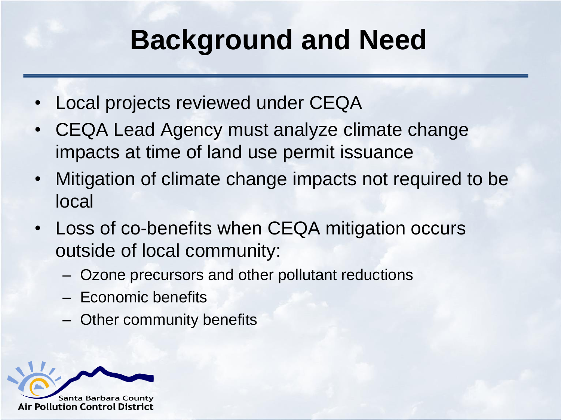### **Background and Need**

- Local projects reviewed under CEQA
- CEQA Lead Agency must analyze climate change impacts at time of land use permit issuance
- Mitigation of climate change impacts not required to be local
- Loss of co-benefits when CEQA mitigation occurs outside of local community:
	- Ozone precursors and other pollutant reductions
	- Economic benefits
	- Other community benefits

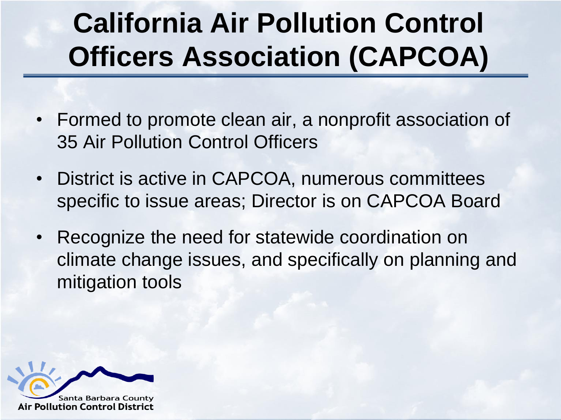## **California Air Pollution Control Officers Association (CAPCOA)**

- Formed to promote clean air, a nonprofit association of 35 Air Pollution Control Officers
- District is active in CAPCOA, numerous committees specific to issue areas; Director is on CAPCOA Board
- Recognize the need for statewide coordination on climate change issues, and specifically on planning and mitigation tools

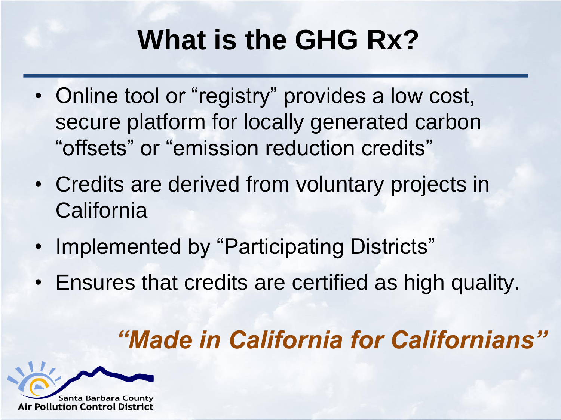### **What is the GHG Rx?**

- Online tool or "registry" provides a low cost, secure platform for locally generated carbon "offsets" or "emission reduction credits"
- Credits are derived from voluntary projects in **California**
- Implemented by "Participating Districts"
- Ensures that credits are certified as high quality.

#### *"Made in California for Californians"*

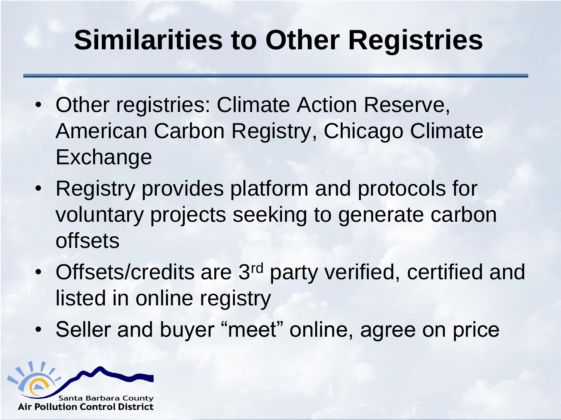### **Similarities to Other Registries**

- Other registries: Climate Action Reserve, American Carbon Registry, Chicago Climate Exchange
- Registry provides platform and protocols for voluntary projects seeking to generate carbon **offsets**
- Offsets/credits are 3<sup>rd</sup> party verified, certified and listed in online registry
- Seller and buyer "meet" online, agree on price

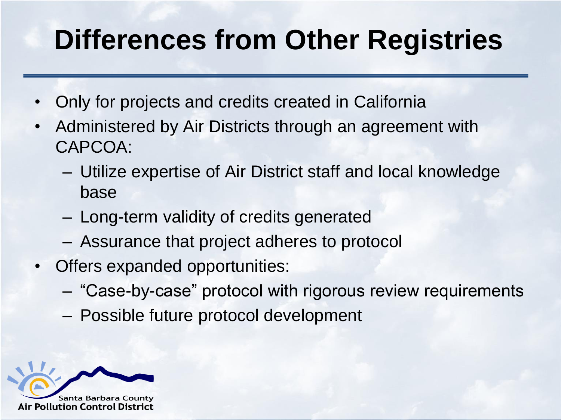### **Differences from Other Registries**

- Only for projects and credits created in California
- Administered by Air Districts through an agreement with CAPCOA:
	- Utilize expertise of Air District staff and local knowledge base
	- Long-term validity of credits generated
	- Assurance that project adheres to protocol
- Offers expanded opportunities:
	- "Case-by-case" protocol with rigorous review requirements
	- Possible future protocol development

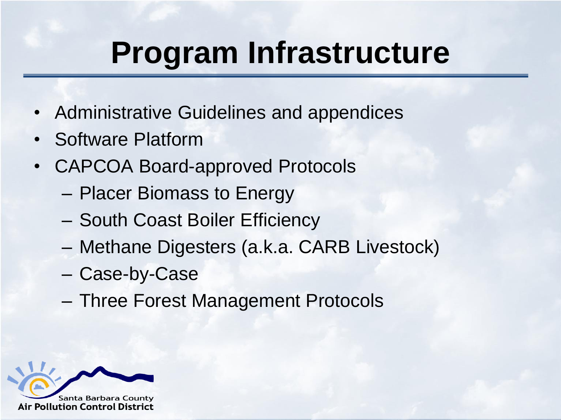# **Program Infrastructure**

- Administrative Guidelines and appendices
- Software Platform
- CAPCOA Board-approved Protocols
	- Placer Biomass to Energy
	- South Coast Boiler Efficiency
	- Methane Digesters (a.k.a. CARB Livestock)
	- Case-by-Case
	- Three Forest Management Protocols